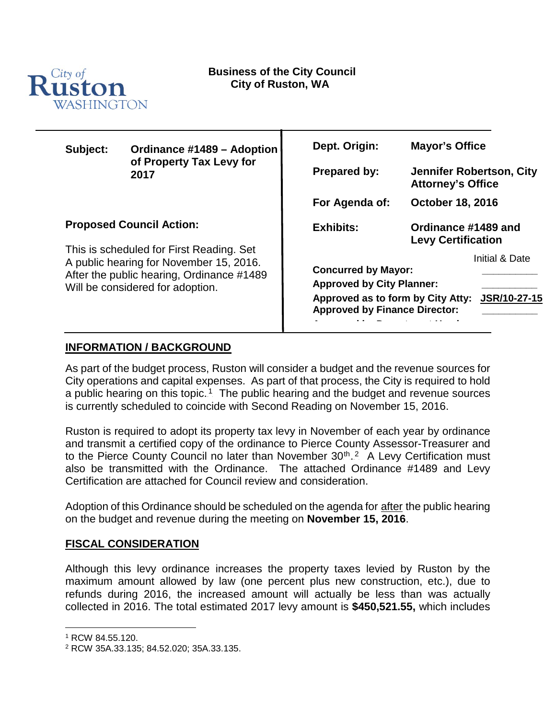

| Subject:                                                                                                                                                                                                | Ordinance #1489 - Adoption<br>of Property Tax Levy for<br>2017 | Dept. Origin:                                                                                                                                                                 | <b>Mayor's Office</b>                                       |
|---------------------------------------------------------------------------------------------------------------------------------------------------------------------------------------------------------|----------------------------------------------------------------|-------------------------------------------------------------------------------------------------------------------------------------------------------------------------------|-------------------------------------------------------------|
|                                                                                                                                                                                                         |                                                                | <b>Prepared by:</b>                                                                                                                                                           | <b>Jennifer Robertson, City</b><br><b>Attorney's Office</b> |
|                                                                                                                                                                                                         |                                                                | For Agenda of:                                                                                                                                                                | <b>October 18, 2016</b>                                     |
| <b>Proposed Council Action:</b><br>This is scheduled for First Reading. Set<br>A public hearing for November 15, 2016.<br>After the public hearing, Ordinance #1489<br>Will be considered for adoption. |                                                                | Exhibits:                                                                                                                                                                     | Ordinance #1489 and<br><b>Levy Certification</b>            |
|                                                                                                                                                                                                         |                                                                | Initial & Date<br><b>Concurred by Mayor:</b><br><b>Approved by City Planner:</b><br>JSR/10-27-15<br>Approved as to form by City Atty:<br><b>Approved by Finance Director:</b> |                                                             |

## **INFORMATION / BACKGROUND**

As part of the budget process, Ruston will consider a budget and the revenue sources for City operations and capital expenses. As part of that process, the City is required to hold a public hearing on this topic.<sup>1</sup>. The public hearing and the budget and revenue sources is currently scheduled to coincide with Second Reading on November 15, 2016.

Ruston is required to adopt its property tax levy in November of each year by ordinance and transmit a certified copy of the ordinance to Pierce County Assessor-Treasurer and to the Pierce County Council no later than November 30<sup>th</sup>..<sup>2</sup> A Levy Certification must also be transmitted with the Ordinance. The attached Ordinance #1489 and Levy Certification are attached for Council review and consideration.

Adoption of this Ordinance should be scheduled on the agenda for after the public hearing on the budget and revenue during the meeting on **November 15, 2016**.

#### **FISCAL CONSIDERATION**

Although this levy ordinance increases the property taxes levied by Ruston by the maximum amount allowed by law (one percent plus new construction, etc.), due to refunds during 2016, the increased amount will actually be less than was actually collected in 2016. The total estimated 2017 levy amount is **\$450,521.55,** which includes

 <sup>1</sup> RCW 84.55.120.

<sup>2</sup> RCW 35A.33.135; 84.52.020; 35A.33.135.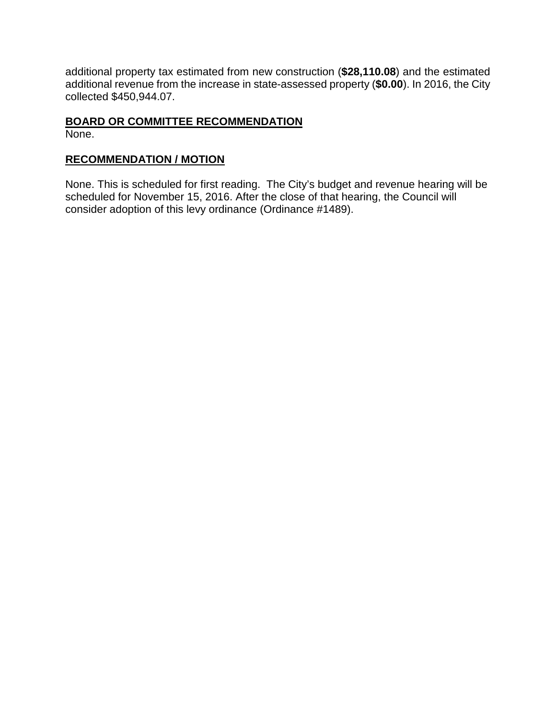additional property tax estimated from new construction (**\$28,110.08**) and the estimated additional revenue from the increase in state-assessed property (**\$0.00**). In 2016, the City collected \$450,944.07.

# **BOARD OR COMMITTEE RECOMMENDATION**

None.

### **RECOMMENDATION / MOTION**

None. This is scheduled for first reading. The City's budget and revenue hearing will be scheduled for November 15, 2016. After the close of that hearing, the Council will consider adoption of this levy ordinance (Ordinance #1489).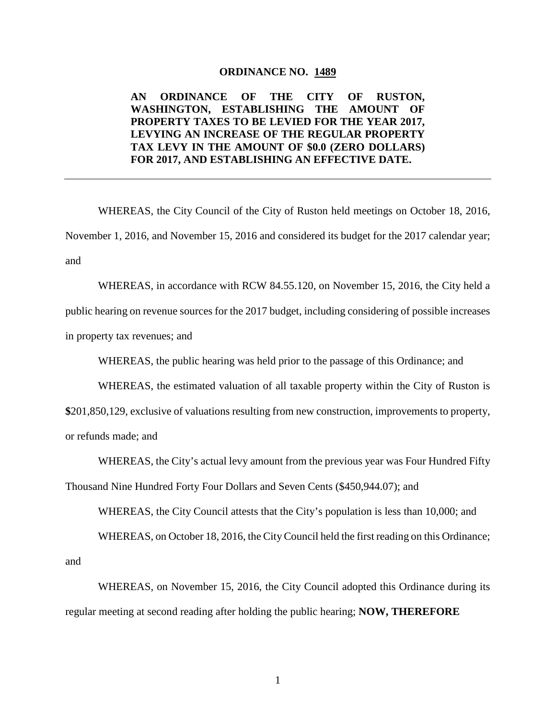#### **ORDINANCE NO. 1489**

#### **AN ORDINANCE OF THE CITY OF RUSTON, WASHINGTON, ESTABLISHING THE AMOUNT OF PROPERTY TAXES TO BE LEVIED FOR THE YEAR 2017, LEVYING AN INCREASE OF THE REGULAR PROPERTY TAX LEVY IN THE AMOUNT OF \$0.0 (ZERO DOLLARS) FOR 2017, AND ESTABLISHING AN EFFECTIVE DATE.**

WHEREAS, the City Council of the City of Ruston held meetings on October 18, 2016, November 1, 2016, and November 15, 2016 and considered its budget for the 2017 calendar year; and

WHEREAS, in accordance with RCW 84.55.120, on November 15, 2016, the City held a public hearing on revenue sources for the 2017 budget, including considering of possible increases in property tax revenues; and

WHEREAS, the public hearing was held prior to the passage of this Ordinance; and

WHEREAS, the estimated valuation of all taxable property within the City of Ruston is

**\$**201,850,129, exclusive of valuations resulting from new construction, improvements to property, or refunds made; and

WHEREAS, the City's actual levy amount from the previous year was Four Hundred Fifty

Thousand Nine Hundred Forty Four Dollars and Seven Cents (\$450,944.07); and

WHEREAS, the City Council attests that the City's population is less than 10,000; and

WHEREAS, on October 18, 2016, the City Council held the first reading on this Ordinance; and

WHEREAS, on November 15, 2016, the City Council adopted this Ordinance during its regular meeting at second reading after holding the public hearing; **NOW, THEREFORE**

1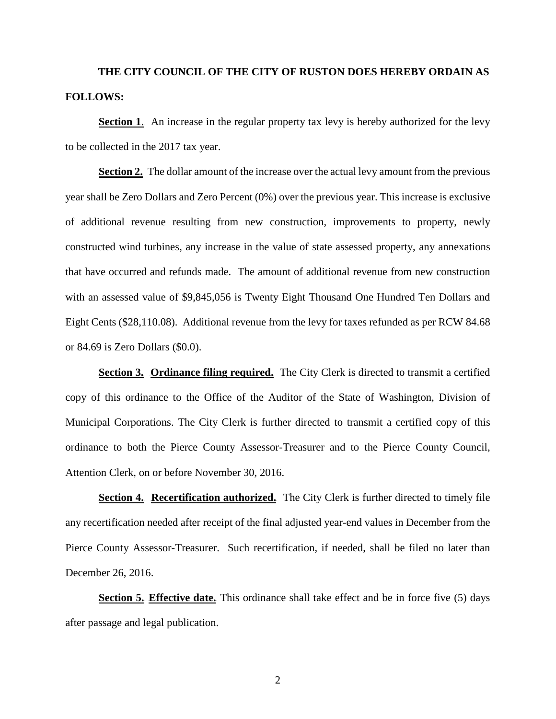# **THE CITY COUNCIL OF THE CITY OF RUSTON DOES HEREBY ORDAIN AS FOLLOWS:**

**Section 1.** An increase in the regular property tax levy is hereby authorized for the levy to be collected in the 2017 tax year.

**Section 2.** The dollar amount of the increase over the actual levy amount from the previous year shall be Zero Dollars and Zero Percent (0%) over the previous year. This increase is exclusive of additional revenue resulting from new construction, improvements to property, newly constructed wind turbines, any increase in the value of state assessed property, any annexations that have occurred and refunds made. The amount of additional revenue from new construction with an assessed value of \$9,845,056 is Twenty Eight Thousand One Hundred Ten Dollars and Eight Cents (\$28,110.08). Additional revenue from the levy for taxes refunded as per RCW 84.68 or 84.69 is Zero Dollars (\$0.0).

**<u>Section 3. Ordinance filing required.</u>** The City Clerk is directed to transmit a certified copy of this ordinance to the Office of the Auditor of the State of Washington, Division of Municipal Corporations. The City Clerk is further directed to transmit a certified copy of this ordinance to both the Pierce County Assessor-Treasurer and to the Pierce County Council, Attention Clerk, on or before November 30, 2016.

**Section 4. Recertification authorized.** The City Clerk is further directed to timely file any recertification needed after receipt of the final adjusted year-end values in December from the Pierce County Assessor-Treasurer. Such recertification, if needed, shall be filed no later than December 26, 2016.

**Section 5. Effective date.** This ordinance shall take effect and be in force five (5) days after passage and legal publication.